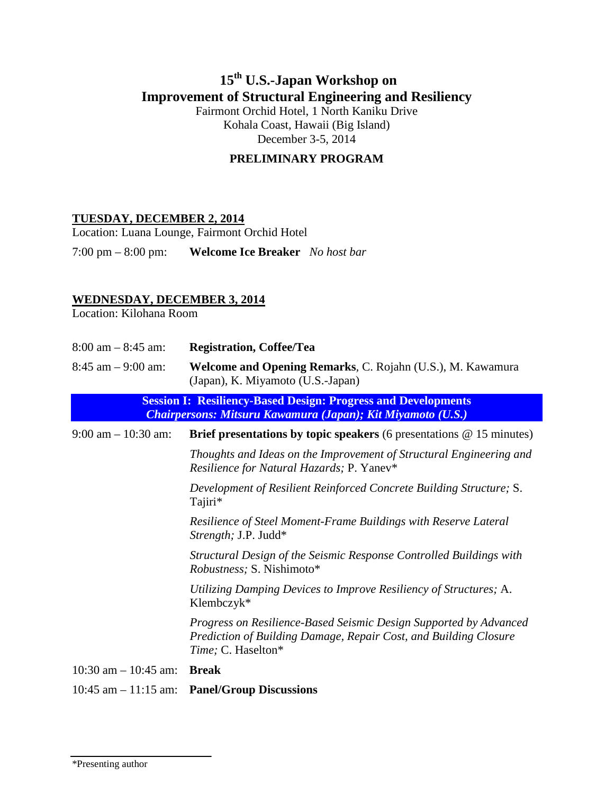# **15th U.S.-Japan Workshop on Improvement of Structural Engineering and Resiliency**

Fairmont Orchid Hotel, 1 North Kaniku Drive Kohala Coast, Hawaii (Big Island) December 3-5, 2014

## **PRELIMINARY PROGRAM**

### **TUESDAY, DECEMBER 2, 2014**

Location: Luana Lounge, Fairmont Orchid Hotel

7:00 pm – 8:00 pm: **Welcome Ice Breaker** *No host bar* 

## **WEDNESDAY, DECEMBER 3, 2014**

Location: Kilohana Room

| $8:00$ am $-8:45$ am:    | <b>Registration, Coffee/Tea</b>                                                                                                                             |
|--------------------------|-------------------------------------------------------------------------------------------------------------------------------------------------------------|
| $8:45$ am $-9:00$ am:    | Welcome and Opening Remarks, C. Rojahn (U.S.), M. Kawamura<br>(Japan), K. Miyamoto (U.S.-Japan)                                                             |
|                          | <b>Session I: Resiliency-Based Design: Progress and Developments</b><br>Chairpersons: Mitsuru Kawamura (Japan); Kit Miyamoto (U.S.)                         |
| $9:00$ am $-10:30$ am:   | Brief presentations by topic speakers (6 presentations $@$ 15 minutes)                                                                                      |
|                          | Thoughts and Ideas on the Improvement of Structural Engineering and<br>Resilience for Natural Hazards; P. Yanev*                                            |
|                          | Development of Resilient Reinforced Concrete Building Structure; S.<br>Tajiri*                                                                              |
|                          | Resilience of Steel Moment-Frame Buildings with Reserve Lateral<br>Strength; J.P. Judd*                                                                     |
|                          | Structural Design of the Seismic Response Controlled Buildings with<br><i>Robustness</i> ; S. Nishimoto*                                                    |
|                          | Utilizing Damping Devices to Improve Resiliency of Structures; A.<br>Klembczyk*                                                                             |
|                          | Progress on Resilience-Based Seismic Design Supported by Advanced<br>Prediction of Building Damage, Repair Cost, and Building Closure<br>Time; C. Haselton* |
| $10:30$ am $- 10:45$ am: | <b>Break</b>                                                                                                                                                |
|                          | $10:45$ am $-11:15$ am: Panel/Group Discussions                                                                                                             |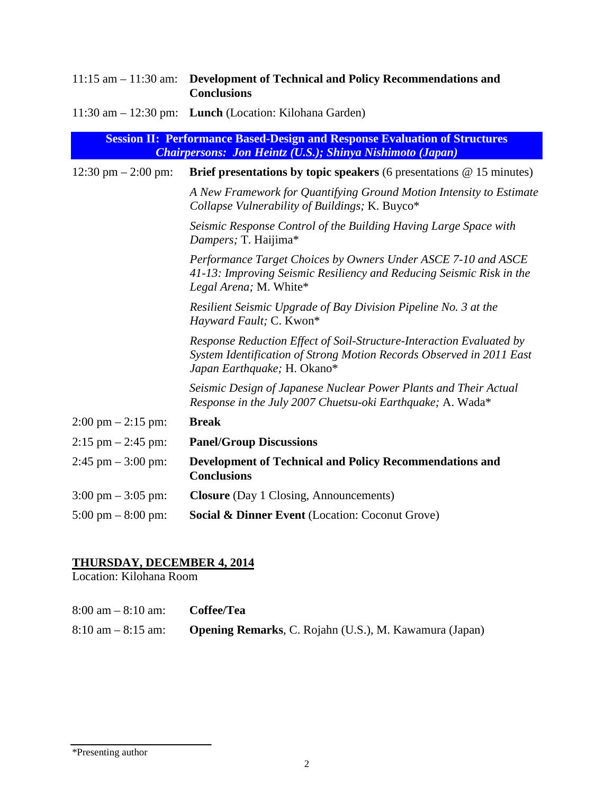|                                                                                                                                                       | 11:15 am - 11:30 am: Development of Technical and Policy Recommendations and<br><b>Conclusions</b>                                                                          |  |
|-------------------------------------------------------------------------------------------------------------------------------------------------------|-----------------------------------------------------------------------------------------------------------------------------------------------------------------------------|--|
|                                                                                                                                                       | 11:30 am $-$ 12:30 pm: Lunch (Location: Kilohana Garden)                                                                                                                    |  |
| <b>Session II: Performance Based-Design and Response Evaluation of Structures</b><br><b>Chairpersons: Jon Heintz (U.S.); Shinya Nishimoto (Japan)</b> |                                                                                                                                                                             |  |
| 12:30 pm $- 2:00$ pm:                                                                                                                                 | Brief presentations by topic speakers (6 presentations $@ 15$ minutes)                                                                                                      |  |
|                                                                                                                                                       | A New Framework for Quantifying Ground Motion Intensity to Estimate<br>Collapse Vulnerability of Buildings; K. Buyco*                                                       |  |
|                                                                                                                                                       | Seismic Response Control of the Building Having Large Space with<br>Dampers; T. Haijima*                                                                                    |  |
|                                                                                                                                                       | Performance Target Choices by Owners Under ASCE 7-10 and ASCE<br>41-13: Improving Seismic Resiliency and Reducing Seismic Risk in the<br>Legal Arena; M. White*             |  |
|                                                                                                                                                       | Resilient Seismic Upgrade of Bay Division Pipeline No. 3 at the<br>Hayward Fault; C. Kwon*                                                                                  |  |
|                                                                                                                                                       | Response Reduction Effect of Soil-Structure-Interaction Evaluated by<br>System Identification of Strong Motion Records Observed in 2011 East<br>Japan Earthquake; H. Okano* |  |
|                                                                                                                                                       | Seismic Design of Japanese Nuclear Power Plants and Their Actual<br>Response in the July 2007 Chuetsu-oki Earthquake; A. Wada*                                              |  |
| $2:00 \text{ pm} - 2:15 \text{ pm}$                                                                                                                   | <b>Break</b>                                                                                                                                                                |  |
| $2:15$ pm $- 2:45$ pm:                                                                                                                                | <b>Panel/Group Discussions</b>                                                                                                                                              |  |
| $2:45$ pm $-3:00$ pm:                                                                                                                                 | <b>Development of Technical and Policy Recommendations and</b><br><b>Conclusions</b>                                                                                        |  |
| $3:00 \text{ pm} - 3:05 \text{ pm}$                                                                                                                   | <b>Closure</b> (Day 1 Closing, Announcements)                                                                                                                               |  |
| $5:00 \text{ pm} - 8:00 \text{ pm}$                                                                                                                   | <b>Social &amp; Dinner Event</b> (Location: Coconut Grove)                                                                                                                  |  |

#### **THURSDAY, DECEMBER 4, 2014**

Location: Kilohana Room

| $8:00 \text{ am} - 8:10 \text{ am}:$ | Coffee/Tea                                                    |
|--------------------------------------|---------------------------------------------------------------|
| $8:10 \text{ am} - 8:15 \text{ am}:$ | <b>Opening Remarks, C. Rojahn (U.S.), M. Kawamura (Japan)</b> |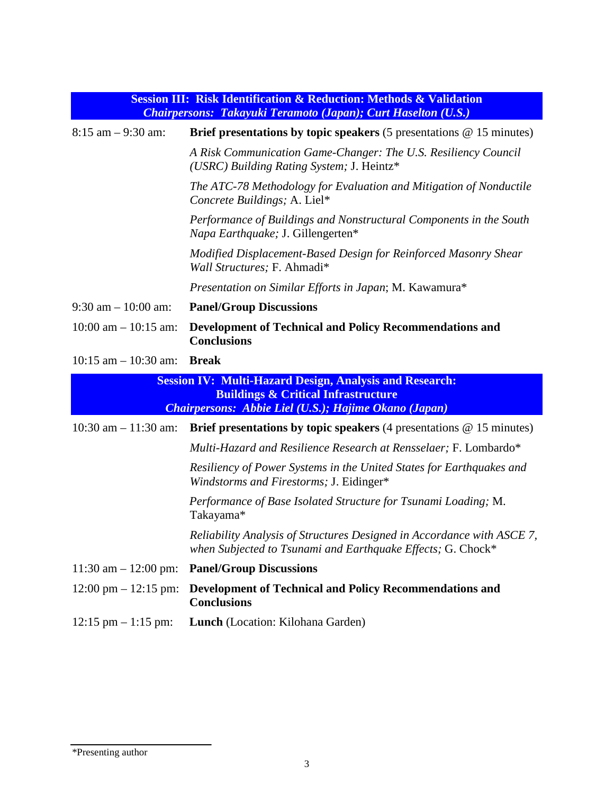| <b>Session III: Risk Identification &amp; Reduction: Methods &amp; Validation</b><br><b>Chairpersons: Takayuki Teramoto (Japan); Curt Haselton (U.S.)</b>                        |                                                                                                                                       |
|----------------------------------------------------------------------------------------------------------------------------------------------------------------------------------|---------------------------------------------------------------------------------------------------------------------------------------|
| $8:15$ am $-9:30$ am:                                                                                                                                                            | <b>Brief presentations by topic speakers</b> $(5$ presentations $@$ 15 minutes)                                                       |
|                                                                                                                                                                                  | A Risk Communication Game-Changer: The U.S. Resiliency Council<br>(USRC) Building Rating System; J. Heintz*                           |
|                                                                                                                                                                                  | The ATC-78 Methodology for Evaluation and Mitigation of Nonductile<br>Concrete Buildings; A. Liel*                                    |
|                                                                                                                                                                                  | Performance of Buildings and Nonstructural Components in the South<br>Napa Earthquake; J. Gillengerten*                               |
|                                                                                                                                                                                  | Modified Displacement-Based Design for Reinforced Masonry Shear<br>Wall Structures; F. Ahmadi*                                        |
|                                                                                                                                                                                  | Presentation on Similar Efforts in Japan; M. Kawamura*                                                                                |
| $9:30$ am $-10:00$ am:                                                                                                                                                           | <b>Panel/Group Discussions</b>                                                                                                        |
| $10:00$ am $- 10:15$ am:                                                                                                                                                         | <b>Development of Technical and Policy Recommendations and</b><br><b>Conclusions</b>                                                  |
| $10:15$ am $- 10:30$ am:                                                                                                                                                         | <b>Break</b>                                                                                                                          |
| <b>Session IV: Multi-Hazard Design, Analysis and Research:</b><br><b>Buildings &amp; Critical Infrastructure</b><br><b>Chairpersons: Abbie Liel (U.S.); Hajime Okano (Japan)</b> |                                                                                                                                       |
| $10:30$ am $- 11:30$ am:                                                                                                                                                         | <b>Brief presentations by topic speakers</b> (4 presentations $\omega$ 15 minutes)                                                    |
|                                                                                                                                                                                  | Multi-Hazard and Resilience Research at Rensselaer; F. Lombardo*                                                                      |
|                                                                                                                                                                                  | Resiliency of Power Systems in the United States for Earthquakes and<br>Windstorms and Firestorms; J. Eidinger*                       |
|                                                                                                                                                                                  | Performance of Base Isolated Structure for Tsunami Loading; M.<br>Takayama*                                                           |
|                                                                                                                                                                                  | Reliability Analysis of Structures Designed in Accordance with ASCE 7,<br>when Subjected to Tsunami and Earthquake Effects; G. Chock* |
| 11:30 am $-$ 12:00 pm:                                                                                                                                                           | <b>Panel/Group Discussions</b>                                                                                                        |
| $12:00 \text{ pm} - 12:15 \text{ pm}$                                                                                                                                            | <b>Development of Technical and Policy Recommendations and</b><br><b>Conclusions</b>                                                  |
| $12:15$ pm $-1:15$ pm:                                                                                                                                                           | Lunch (Location: Kilohana Garden)                                                                                                     |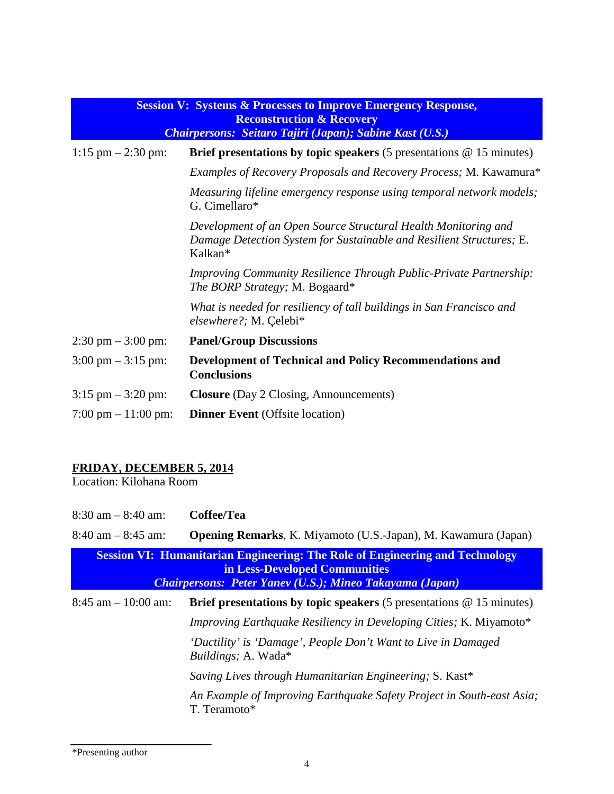| <b>Session V: Systems &amp; Processes to Improve Emergency Response,</b><br><b>Reconstruction &amp; Recovery</b><br>Chairpersons: Seitaro Tajiri (Japan); Sabine Kast (U.S.) |                                                                                                                                                   |
|------------------------------------------------------------------------------------------------------------------------------------------------------------------------------|---------------------------------------------------------------------------------------------------------------------------------------------------|
| $1:15$ pm $- 2:30$ pm:                                                                                                                                                       | Brief presentations by topic speakers $(5$ presentations $@ 15$ minutes)                                                                          |
|                                                                                                                                                                              | Examples of Recovery Proposals and Recovery Process; M. Kawamura*                                                                                 |
|                                                                                                                                                                              | Measuring lifeline emergency response using temporal network models;<br>G. Cimellaro*                                                             |
|                                                                                                                                                                              | Development of an Open Source Structural Health Monitoring and<br>Damage Detection System for Sustainable and Resilient Structures; E.<br>Kalkan* |
|                                                                                                                                                                              | <b>Improving Community Resilience Through Public-Private Partnership:</b><br>The BORP Strategy; M. Bogaard*                                       |
|                                                                                                                                                                              | What is needed for resiliency of tall buildings in San Francisco and<br>elsewhere?; M. Çelebi*                                                    |
| $2:30 \text{ pm} - 3:00 \text{ pm}$                                                                                                                                          | <b>Panel/Group Discussions</b>                                                                                                                    |
| $3:00 \text{ pm} - 3:15 \text{ pm}$                                                                                                                                          | <b>Development of Technical and Policy Recommendations and</b><br><b>Conclusions</b>                                                              |
| $3:15$ pm $-3:20$ pm:                                                                                                                                                        | <b>Closure</b> (Day 2 Closing, Announcements)                                                                                                     |
| $7:00 \text{ pm} - 11:00 \text{ pm}$                                                                                                                                         | <b>Dinner Event</b> (Offsite location)                                                                                                            |

### **FRIDAY, DECEMBER 5, 2014**

Location: Kilohana Room

| $8:30$ am $-8:40$ am:                                                                                                                                                                   | Coffee/Tea                                                                                   |
|-----------------------------------------------------------------------------------------------------------------------------------------------------------------------------------------|----------------------------------------------------------------------------------------------|
| $8:40$ am $-8:45$ am:                                                                                                                                                                   | <b>Opening Remarks, K. Miyamoto (U.S.-Japan), M. Kawamura (Japan)</b>                        |
| <b>Session VI: Humanitarian Engineering: The Role of Engineering and Technology</b><br>in Less-Developed Communities<br><b>Chairpersons: Peter Yanev (U.S.); Mineo Takayama (Japan)</b> |                                                                                              |
| $8:45$ am $-10:00$ am:                                                                                                                                                                  | <b>Brief presentations by topic speakers</b> (5 presentations $\omega$ 15 minutes)           |
|                                                                                                                                                                                         | Improving Earthquake Resiliency in Developing Cities; K. Miyamoto*                           |
|                                                                                                                                                                                         | 'Ductility' is 'Damage', People Don't Want to Live in Damaged<br><i>Buildings</i> ; A. Wada* |
|                                                                                                                                                                                         | Saving Lives through Humanitarian Engineering; S. Kast*                                      |
|                                                                                                                                                                                         | An Example of Improving Earthquake Safety Project in South-east Asia;<br>T. Teramoto*        |

\*Presenting author